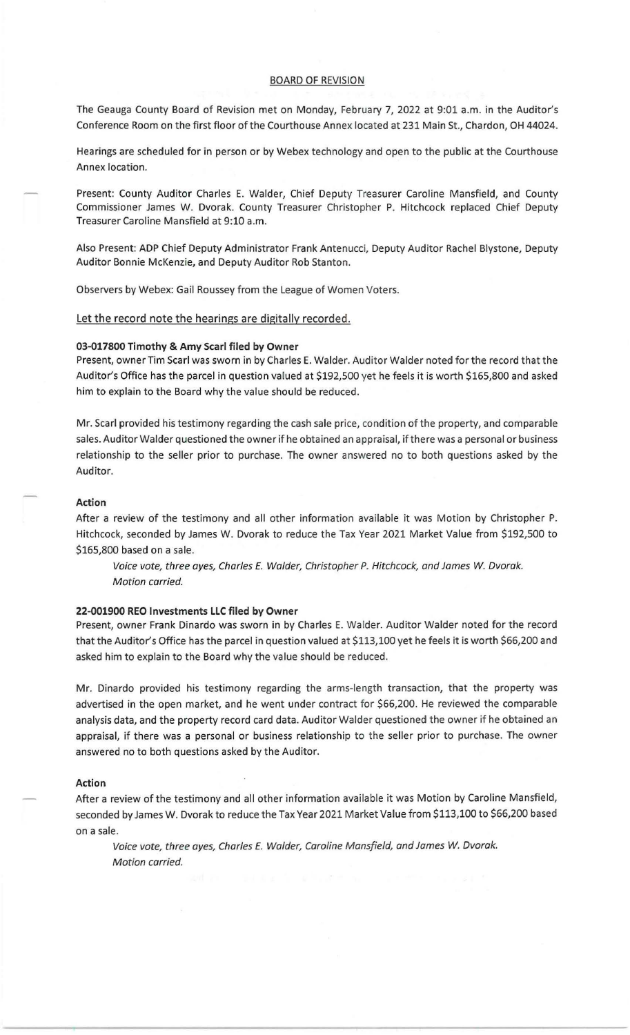# BOARD OF REVISION

The Geauga County Board of Revision met on Monday, February 7, 2022 at 9:01 a.m. in the Auditor's Conference Room on the first floor of the Courthouse Annex located at 231 Main St., Chardon, OH 44024.

Hearings are scheduled for in person or by Webex technology and open to the public at the Courthouse Annex location.

Present: County Auditor Charles E. Walder, Chief Deputy Treasurer Caroline Mansfield, and County Commissioner James W. Dvorak. County Treasurer Christopher P. Hitchcock replaced Chief Deputy Treasurer Caroline Mansfield at 9:10 a.m.

Also Present: ADP Chief Deputy Administrator Frank Antenucci, Deputy Auditor Rachel Blystone, Deputy Auditor Bonnie McKenzie, and Deputy Auditor Rob Stanton.

Observers by Webex: Gail Roussey from the League of Women Voters.

Let the record note the hearings are digitally recorded.

## 03-017800 Timothy & Amy Searl filed by Owner

Present, owner Tim Searl was sworn in by Charles E. Walder. Auditor Walder noted for the record that the Auditor's Office has the parcel in question valued at \$192,500 yet he feels it is worth \$165,800 and asked him to explain to the Board why the value should be reduced.

Mr. Searl provided his testimony regarding the cash sale price, condition of the property, and comparable sales. Auditor Walder questioned the owner if he obtained an appraisal, if there was a personal or business relationship to the seller prior to purchase. The owner answered no to both questions asked by the Auditor.

### Action

After a review of the testimony and all other information available it was Motion by Christopher P. Hitchcock, seconded by James W. Dvorak to reduce the Tax Year 2021 Market Value from \$192,500 to \$165,800 based on a sale.

Voice vote, three ayes, Charles E. Walder, Christopher P. Hitchcock, and James W. Dvorak. Motion carried.

## 22-001900 REO Investments LLC filed by Owner

Present, owner Frank Dinardo was sworn in by Charles E. Walder. Auditor Walder noted for the record that the Auditor's Office has the parcel in question valued at \$113,100 yet he feels it is worth \$66,200 and asked him to explain to the Board why the value should be reduced.

Mr. Dinardo provided his testimony regarding the arms-length transaction, that the property was advertised in the open market, and he went under contract for \$66,200. He reviewed the comparable analysis data, and the property record card data. Auditor Walder questioned the owner if he obtained an appraisal, if there was a personal or business relationship to the seller prior to purchase. The owner answered no to both questions asked by the Auditor.

#### Action

After a review of the testimony and all other information available it was Motion by Caroline Mansfield, seconded by James W. Dvorak to reduce the Tax Year 2021 Market Value from \$113,100 to \$66,200 based on a sale.

Voice vote, three ayes, Charles E. Walder, Caroline Mansfield, and James W. Dvorak. Motion carried.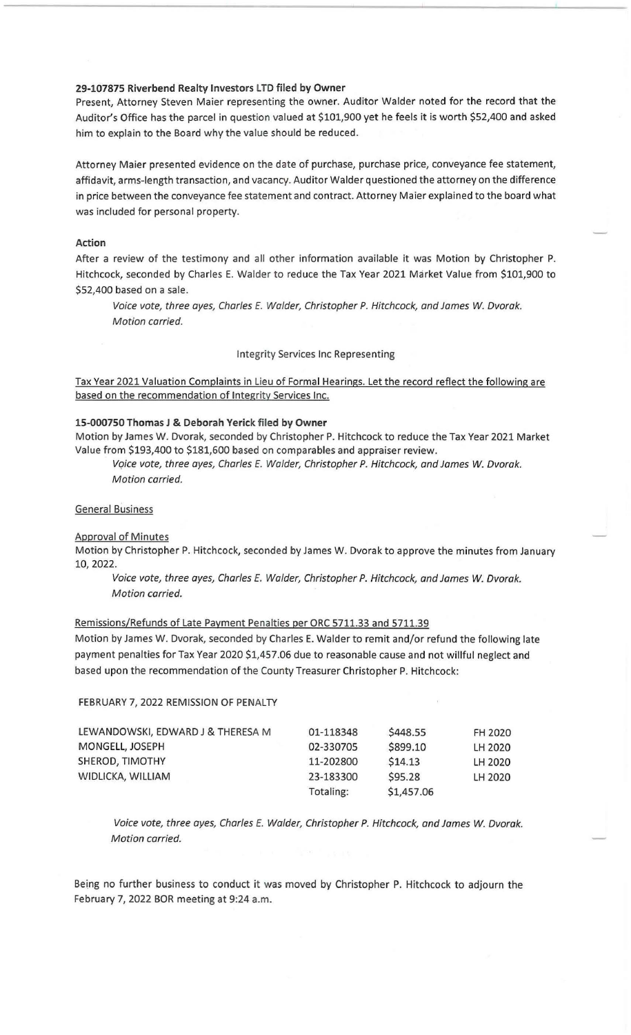## 29-107875 Riverbend Realty Investors LTD filed by Owner

Present, Attorney Steven Maier representing the owner. Auditor Walder noted for the record that the Auditor's Office has the parcel in question valued at \$101,900 yet he feels it is worth \$52,400 and asked him to explain to the Board why the value should be reduced.

Attorney Maier presented evidence on the date of purchase, purchase price, conveyance fee statement, affidavit, arms-length transaction, and vacancy. Auditor Walder questioned the attorney on the difference in price between the conveyance fee statement and contract. Attorney Maier explained to the board what was included for personal property.

### Action

After a review of the testimony and all other information available it was Motion by Christopher P. Hitchcock, seconded by Charles E. Walder to reduce the Tax Year 2021 Market Value from \$101,900 to \$52,400 based on a sale.

Voice vote, three ayes, Charles E. Walder, Christopher P. Hitchcock, and James *W.* Dvorak. Motion carried.

Integrity Services Inc Representing

Tax Year 2021 Valuation Complaints in Lieu of Formal Hearings. Let the record reflect the following are based on the recommendation of Integrity Services Inc.

### 15-000750 Thomas J & Deborah Yerick filed by Owner

Motion by James W. Dvorak, seconded by Christopher P. Hitchcock to reduce the Tax Year 2021 Market Value from \$193,400 to \$181,600 based on comparables and appraiser review.

Vqice vote, three ayes, Charles E. Walder, Christopher P. Hitchcock, and James *W.* Dvorak. Motion carried.

#### General Business

Approval of Minutes

Motion by Christopher P. Hitchcock, seconded by James W. Dvorak to approve the minutes from January 10,2022.

Voice vote, three ayes, Charles E. Walder, Christopher P. Hitchcock, and James *w.* Dvorak. Motion carried.

### Remissions/Refunds of Late Payment Penalties per ORC 5711.33 and 5711.39

Motion by James W. Dvorak, seconded by Charles E. Walder to remit and/or refund the following late payment penalties for Tax Year 2020 \$1,457.06 due to reasonable cause and not willful neglect and based upon the recommendation of the County Treasurer Christopher P. Hitchcock:

#### FEBRUARY 7, 2022 REMISSION OF PENALTY

| LEWANDOWSKI, EDWARD J & THERESA M | 01-118348 | \$448.55   | FH 2020 |
|-----------------------------------|-----------|------------|---------|
| MONGELL, JOSEPH                   | 02-330705 | \$899.10   | LH 2020 |
| SHEROD, TIMOTHY                   | 11-202800 | \$14.13    | LH 2020 |
| WIDLICKA, WILLIAM                 | 23-183300 | \$95.28    | LH 2020 |
|                                   | Totaling: | \$1,457.06 |         |

Voice vote, three ayes, Charles *E.* Walder, Christopher P. Hitchcock, and James *w.* Dvorak. Motion carried.

Bejng no further business to conduct it was moved by Christopher P. Hitchcock to adjourn the February 7, 2022 BOR meeting at 9:24 a.m.